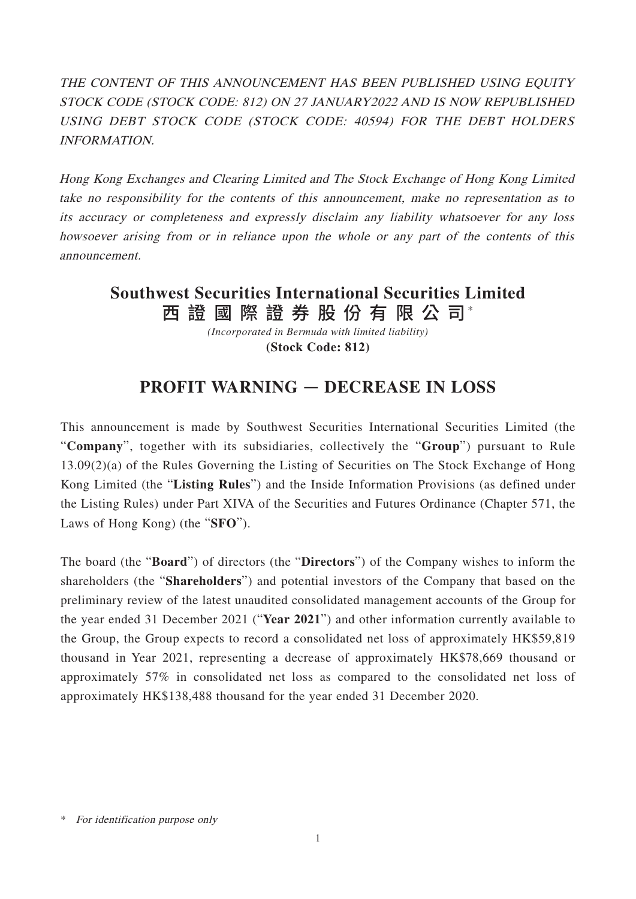THE CONTENT OF THIS ANNOUNCEMENT HAS BEEN PUBLISHED USING EQUITY STOCK CODE (STOCK CODE: 812) ON 27 JANUARY2022 AND IS NOW REPUBLISHED USING DEBT STOCK CODE (STOCK CODE: 40594) FOR THE DEBT HOLDERS INFORMATION.

Hong Kong Exchanges and Clearing Limited and The Stock Exchange of Hong Kong Limited take no responsibility for the contents of this announcement, make no representation as to its accuracy or completeness and expressly disclaim any liability whatsoever for any loss howsoever arising from or in reliance upon the whole or any part of the contents of this announcement.

## 西 證 國 際 證 券 股 份 有 限 公 司\* **Southwest Securities International Securities Limited**

*(Incorporated in Bermuda with limited liability)* **(Stock Code: 812)**

## **PROFIT WARNING** — **DECREASE IN LOSS**

This announcement is made by Southwest Securities International Securities Limited (the "**Company**", together with its subsidiaries, collectively the "**Group**") pursuant to Rule 13.09(2)(a) of the Rules Governing the Listing of Securities on The Stock Exchange of Hong Kong Limited (the "**Listing Rules**") and the Inside Information Provisions (as defined under the Listing Rules) under Part XIVA of the Securities and Futures Ordinance (Chapter 571, the Laws of Hong Kong) (the "**SFO**").

The board (the "**Board**") of directors (the "**Directors**") of the Company wishes to inform the shareholders (the "**Shareholders**") and potential investors of the Company that based on the preliminary review of the latest unaudited consolidated management accounts of the Group for the year ended 31 December 2021 ("**Year 2021**") and other information currently available to the Group, the Group expects to record a consolidated net loss of approximately HK\$59,819 thousand in Year 2021, representing a decrease of approximately HK\$78,669 thousand or approximately 57% in consolidated net loss as compared to the consolidated net loss of approximately HK\$138,488 thousand for the year ended 31 December 2020.

<sup>\*</sup> For identification purpose only